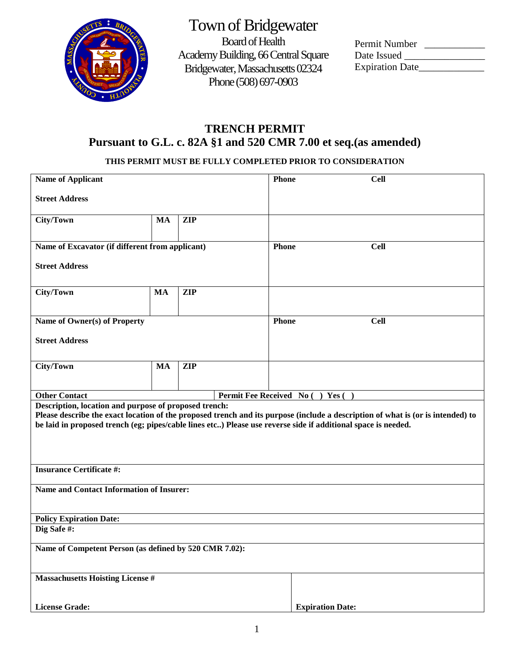

# Town of Bridgewater

Board of Health Academy Building, 66 Central Square Bridgewater, Massachusetts 02324 Phone (508) 697-0903

| Permit Number          |  |
|------------------------|--|
| Date Issued            |  |
| <b>Expiration Date</b> |  |

## **TRENCH PERMIT Pursuant to G.L. c. 82A §1 and 520 CMR 7.00 et seq.(as amended)**

## **THIS PERMIT MUST BE FULLY COMPLETED PRIOR TO CONSIDERATION**

| <b>Name of Applicant</b>                                                                                                                                                                                                                                                                                  |           |            | Phone        | <b>Cell</b>                      |  |
|-----------------------------------------------------------------------------------------------------------------------------------------------------------------------------------------------------------------------------------------------------------------------------------------------------------|-----------|------------|--------------|----------------------------------|--|
| <b>Street Address</b>                                                                                                                                                                                                                                                                                     |           |            |              |                                  |  |
| <b>City/Town</b>                                                                                                                                                                                                                                                                                          | <b>MA</b> | ZIP        |              |                                  |  |
| Name of Excavator (if different from applicant)                                                                                                                                                                                                                                                           |           |            | Phone        | <b>Cell</b>                      |  |
| <b>Street Address</b>                                                                                                                                                                                                                                                                                     |           |            |              |                                  |  |
| <b>City/Town</b>                                                                                                                                                                                                                                                                                          | <b>MA</b> | <b>ZIP</b> |              |                                  |  |
| Name of Owner(s) of Property                                                                                                                                                                                                                                                                              |           |            | <b>Phone</b> | <b>Cell</b>                      |  |
| <b>Street Address</b>                                                                                                                                                                                                                                                                                     |           |            |              |                                  |  |
| City/Town                                                                                                                                                                                                                                                                                                 | <b>MA</b> | <b>ZIP</b> |              |                                  |  |
| <b>Other Contact</b>                                                                                                                                                                                                                                                                                      |           |            |              | Permit Fee Received No () Yes () |  |
| Description, location and purpose of proposed trench:<br>Please describe the exact location of the proposed trench and its purpose (include a description of what is (or is intended) to<br>be laid in proposed trench (eg; pipes/cable lines etc) Please use reverse side if additional space is needed. |           |            |              |                                  |  |
| <b>Insurance Certificate #:</b>                                                                                                                                                                                                                                                                           |           |            |              |                                  |  |
| <b>Name and Contact Information of Insurer:</b>                                                                                                                                                                                                                                                           |           |            |              |                                  |  |
| <b>Policy Expiration Date:</b>                                                                                                                                                                                                                                                                            |           |            |              |                                  |  |
| Dig Safe#:                                                                                                                                                                                                                                                                                                |           |            |              |                                  |  |
| Name of Competent Person (as defined by 520 CMR 7.02):                                                                                                                                                                                                                                                    |           |            |              |                                  |  |
| <b>Massachusetts Hoisting License #</b>                                                                                                                                                                                                                                                                   |           |            |              |                                  |  |
| <b>License Grade:</b>                                                                                                                                                                                                                                                                                     |           |            |              | <b>Expiration Date:</b>          |  |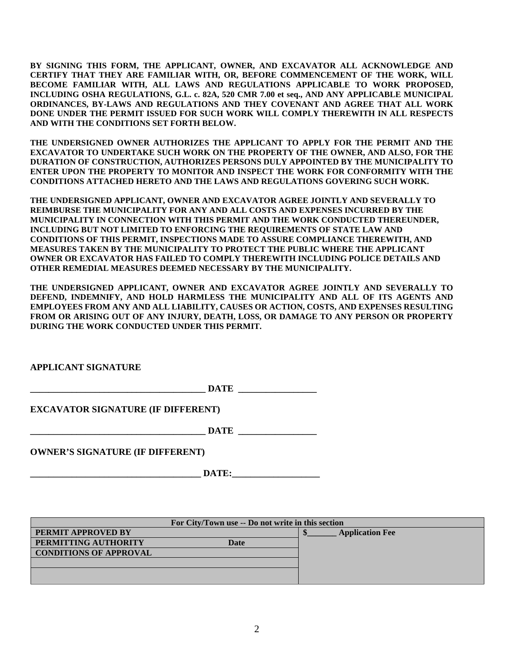**BY SIGNING THIS FORM, THE APPLICANT, OWNER, AND EXCAVATOR ALL ACKNOWLEDGE AND CERTIFY THAT THEY ARE FAMILIAR WITH, OR, BEFORE COMMENCEMENT OF THE WORK, WILL BECOME FAMILIAR WITH, ALL LAWS AND REGULATIONS APPLICABLE TO WORK PROPOSED, INCLUDING OSHA REGULATIONS, G.L. c. 82A, 520 CMR 7.00 et seq., AND ANY APPLICABLE MUNICIPAL ORDINANCES, BY-LAWS AND REGULATIONS AND THEY COVENANT AND AGREE THAT ALL WORK DONE UNDER THE PERMIT ISSUED FOR SUCH WORK WILL COMPLY THEREWITH IN ALL RESPECTS AND WITH THE CONDITIONS SET FORTH BELOW.**

**THE UNDERSIGNED OWNER AUTHORIZES THE APPLICANT TO APPLY FOR THE PERMIT AND THE EXCAVATOR TO UNDERTAKE SUCH WORK ON THE PROPERTY OF THE OWNER, AND ALSO, FOR THE DURATION OF CONSTRUCTION, AUTHORIZES PERSONS DULY APPOINTED BY THE MUNICIPALITY TO ENTER UPON THE PROPERTY TO MONITOR AND INSPECT THE WORK FOR CONFORMITY WITH THE CONDITIONS ATTACHED HERETO AND THE LAWS AND REGULATIONS GOVERING SUCH WORK.** 

**THE UNDERSIGNED APPLICANT, OWNER AND EXCAVATOR AGREE JOINTLY AND SEVERALLY TO REIMBURSE THE MUNICIPALITY FOR ANY AND ALL COSTS AND EXPENSES INCURRED BY THE MUNICIPALITY IN CONNECTION WITH THIS PERMIT AND THE WORK CONDUCTED THEREUNDER, INCLUDING BUT NOT LIMITED TO ENFORCING THE REQUIREMENTS OF STATE LAW AND CONDITIONS OF THIS PERMIT, INSPECTIONS MADE TO ASSURE COMPLIANCE THEREWITH, AND MEASURES TAKEN BY THE MUNICIPALITY TO PROTECT THE PUBLIC WHERE THE APPLICANT OWNER OR EXCAVATOR HAS FAILED TO COMPLY THEREWITH INCLUDING POLICE DETAILS AND OTHER REMEDIAL MEASURES DEEMED NECESSARY BY THE MUNICIPALITY.**

**THE UNDERSIGNED APPLICANT, OWNER AND EXCAVATOR AGREE JOINTLY AND SEVERALLY TO DEFEND, INDEMNIFY, AND HOLD HARMLESS THE MUNICIPALITY AND ALL OF ITS AGENTS AND EMPLOYEES FROM ANY AND ALL LIABILITY, CAUSES OR ACTION, COSTS, AND EXPENSES RESULTING FROM OR ARISING OUT OF ANY INJURY, DEATH, LOSS, OR DAMAGE TO ANY PERSON OR PROPERTY DURING THE WORK CONDUCTED UNDER THIS PERMIT.** 

**APPLICANT SIGNATURE** 

**\_\_\_\_\_\_\_\_\_\_\_\_\_\_\_\_\_\_\_\_\_\_\_\_\_\_\_\_\_\_\_\_\_\_\_\_\_\_ DATE \_\_\_\_\_\_\_\_\_\_\_\_\_\_\_\_\_**

**EXCAVATOR SIGNATURE (IF DIFFERENT)**

**\_\_\_\_\_\_\_\_\_\_\_\_\_\_\_\_\_\_\_\_\_\_\_\_\_\_\_\_\_\_\_\_\_\_\_\_\_\_ DATE \_\_\_\_\_\_\_\_\_\_\_\_\_\_\_\_\_**

**OWNER'S SIGNATURE (IF DIFFERENT)**

 $\bf{DATE:}$ 

| For City/Town use -- Do not write in this section |                        |  |  |
|---------------------------------------------------|------------------------|--|--|
| PERMIT APPROVED BY                                | <b>Application Fee</b> |  |  |
| PERMITTING AUTHORITY<br>Date                      |                        |  |  |
| <b>CONDITIONS OF APPROVAL</b>                     |                        |  |  |
|                                                   |                        |  |  |
|                                                   |                        |  |  |
|                                                   |                        |  |  |